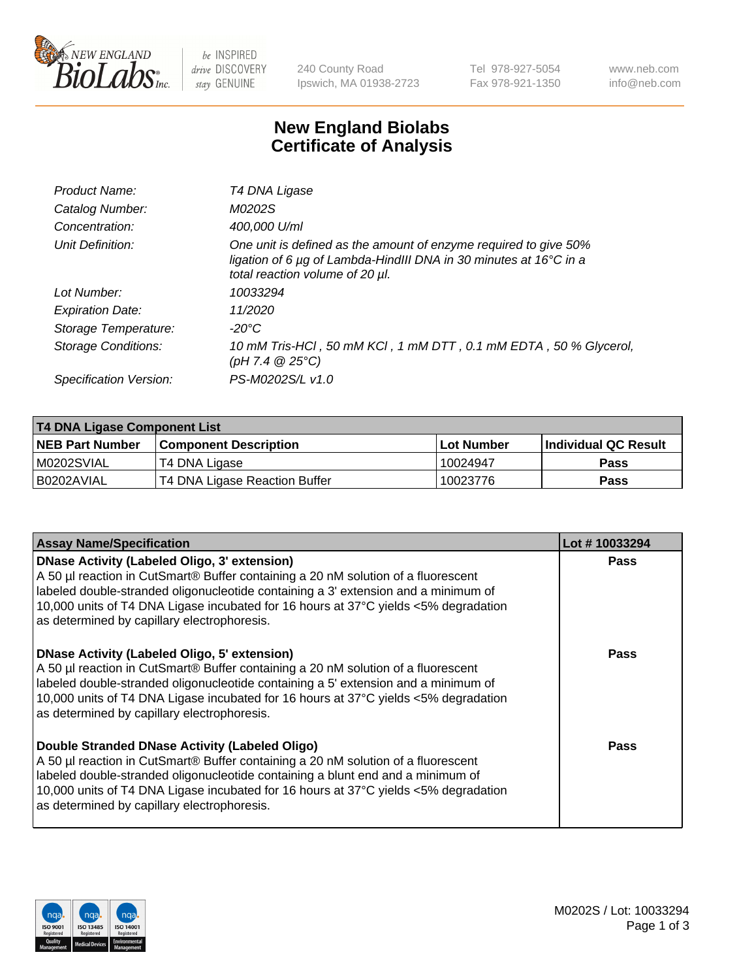

be INSPIRED drive DISCOVERY stay GENUINE

240 County Road Ipswich, MA 01938-2723 Tel 978-927-5054 Fax 978-921-1350 www.neb.com info@neb.com

## **New England Biolabs Certificate of Analysis**

| Product Name:              | T4 DNA Ligase                                                                                                                                                            |
|----------------------------|--------------------------------------------------------------------------------------------------------------------------------------------------------------------------|
| Catalog Number:            | M0202S                                                                                                                                                                   |
| Concentration:             | 400,000 U/ml                                                                                                                                                             |
| Unit Definition:           | One unit is defined as the amount of enzyme required to give 50%<br>ligation of 6 µg of Lambda-HindIII DNA in 30 minutes at 16°C in a<br>total reaction volume of 20 µl. |
| Lot Number:                | 10033294                                                                                                                                                                 |
| <b>Expiration Date:</b>    | 11/2020                                                                                                                                                                  |
| Storage Temperature:       | -20°C                                                                                                                                                                    |
| <b>Storage Conditions:</b> | 10 mM Tris-HCl, 50 mM KCl, 1 mM DTT, 0.1 mM EDTA, 50 % Glycerol,<br>(pH 7.4 $@25°C$ )                                                                                    |
| Specification Version:     | PS-M0202S/L v1.0                                                                                                                                                         |

| T4 DNA Ligase Component List |                               |                   |                      |  |  |
|------------------------------|-------------------------------|-------------------|----------------------|--|--|
| <b>NEB Part Number</b>       | <b>Component Description</b>  | <b>Lot Number</b> | Individual QC Result |  |  |
| IM0202SVIAL                  | T4 DNA Ligase                 | 10024947          | <b>Pass</b>          |  |  |
| I B0202AVIAL                 | T4 DNA Ligase Reaction Buffer | 10023776          | <b>Pass</b>          |  |  |

| <b>Assay Name/Specification</b>                                                                                                                                                                                                                                                                                                                                      | Lot #10033294 |
|----------------------------------------------------------------------------------------------------------------------------------------------------------------------------------------------------------------------------------------------------------------------------------------------------------------------------------------------------------------------|---------------|
| <b>DNase Activity (Labeled Oligo, 3' extension)</b><br>A 50 µl reaction in CutSmart® Buffer containing a 20 nM solution of a fluorescent<br>labeled double-stranded oligonucleotide containing a 3' extension and a minimum of<br>10,000 units of T4 DNA Ligase incubated for 16 hours at 37°C yields <5% degradation<br>as determined by capillary electrophoresis. | <b>Pass</b>   |
| <b>DNase Activity (Labeled Oligo, 5' extension)</b><br>A 50 µl reaction in CutSmart® Buffer containing a 20 nM solution of a fluorescent<br>labeled double-stranded oligonucleotide containing a 5' extension and a minimum of<br>10,000 units of T4 DNA Ligase incubated for 16 hours at 37°C yields <5% degradation<br>as determined by capillary electrophoresis. | Pass          |
| Double Stranded DNase Activity (Labeled Oligo)<br>A 50 µl reaction in CutSmart® Buffer containing a 20 nM solution of a fluorescent<br>labeled double-stranded oligonucleotide containing a blunt end and a minimum of<br>10,000 units of T4 DNA Ligase incubated for 16 hours at 37°C yields <5% degradation<br>as determined by capillary electrophoresis.         | Pass          |

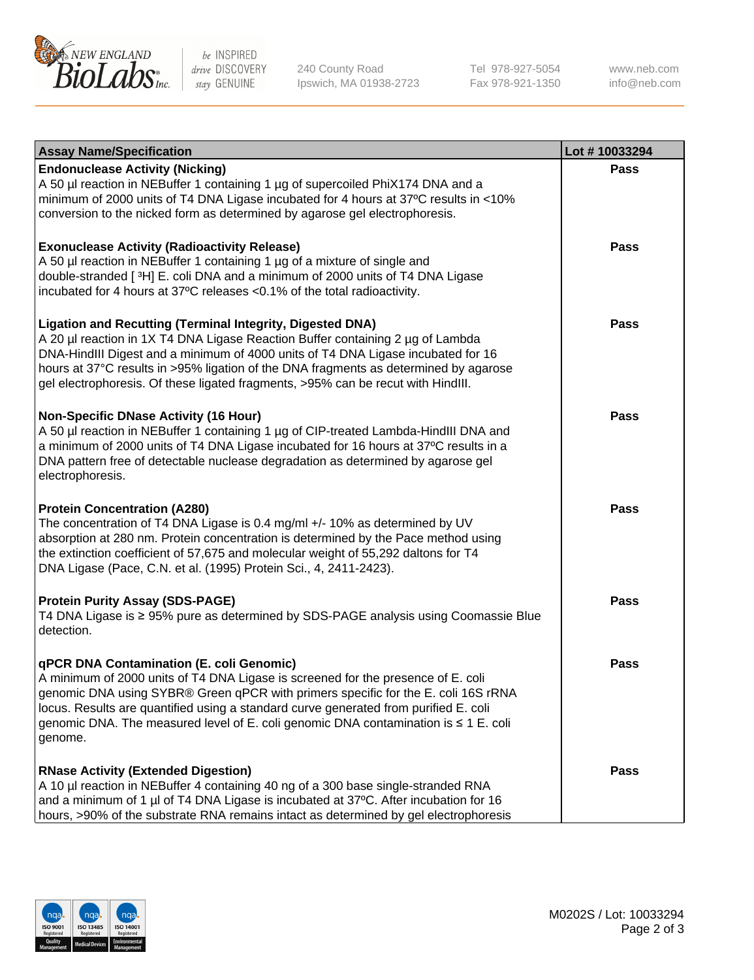

be INSPIRED drive DISCOVERY stay GENUINE

240 County Road Ipswich, MA 01938-2723 Tel 978-927-5054 Fax 978-921-1350

www.neb.com info@neb.com

| <b>Assay Name/Specification</b>                                                                                                                                                                                                                                                                                                                                                                                    | Lot #10033294 |
|--------------------------------------------------------------------------------------------------------------------------------------------------------------------------------------------------------------------------------------------------------------------------------------------------------------------------------------------------------------------------------------------------------------------|---------------|
| <b>Endonuclease Activity (Nicking)</b><br>A 50 µl reaction in NEBuffer 1 containing 1 µg of supercoiled PhiX174 DNA and a<br>minimum of 2000 units of T4 DNA Ligase incubated for 4 hours at 37°C results in <10%<br>conversion to the nicked form as determined by agarose gel electrophoresis.                                                                                                                   | <b>Pass</b>   |
| <b>Exonuclease Activity (Radioactivity Release)</b><br>A 50 µl reaction in NEBuffer 1 containing 1 µg of a mixture of single and<br>double-stranded [3H] E. coli DNA and a minimum of 2000 units of T4 DNA Ligase<br>incubated for 4 hours at 37°C releases <0.1% of the total radioactivity.                                                                                                                      | <b>Pass</b>   |
| <b>Ligation and Recutting (Terminal Integrity, Digested DNA)</b><br>A 20 µl reaction in 1X T4 DNA Ligase Reaction Buffer containing 2 µg of Lambda<br>DNA-HindIII Digest and a minimum of 4000 units of T4 DNA Ligase incubated for 16<br>hours at 37°C results in >95% ligation of the DNA fragments as determined by agarose<br>gel electrophoresis. Of these ligated fragments, >95% can be recut with HindIII. | <b>Pass</b>   |
| <b>Non-Specific DNase Activity (16 Hour)</b><br>A 50 µl reaction in NEBuffer 1 containing 1 µg of CIP-treated Lambda-HindIII DNA and<br>a minimum of 2000 units of T4 DNA Ligase incubated for 16 hours at 37°C results in a<br>DNA pattern free of detectable nuclease degradation as determined by agarose gel<br>electrophoresis.                                                                               | <b>Pass</b>   |
| <b>Protein Concentration (A280)</b><br>The concentration of T4 DNA Ligase is 0.4 mg/ml +/- 10% as determined by UV<br>absorption at 280 nm. Protein concentration is determined by the Pace method using<br>the extinction coefficient of 57,675 and molecular weight of 55,292 daltons for T4<br>DNA Ligase (Pace, C.N. et al. (1995) Protein Sci., 4, 2411-2423).                                                | <b>Pass</b>   |
| <b>Protein Purity Assay (SDS-PAGE)</b><br>T4 DNA Ligase is ≥ 95% pure as determined by SDS-PAGE analysis using Coomassie Blue<br>detection.                                                                                                                                                                                                                                                                        | <b>Pass</b>   |
| qPCR DNA Contamination (E. coli Genomic)<br>A minimum of 2000 units of T4 DNA Ligase is screened for the presence of E. coli<br>genomic DNA using SYBR® Green qPCR with primers specific for the E. coli 16S rRNA<br>locus. Results are quantified using a standard curve generated from purified E. coli<br>genomic DNA. The measured level of E. coli genomic DNA contamination is ≤ 1 E. coli<br>genome.        | Pass          |
| <b>RNase Activity (Extended Digestion)</b><br>A 10 µl reaction in NEBuffer 4 containing 40 ng of a 300 base single-stranded RNA<br>and a minimum of 1 µl of T4 DNA Ligase is incubated at 37°C. After incubation for 16<br>hours, >90% of the substrate RNA remains intact as determined by gel electrophoresis                                                                                                    | <b>Pass</b>   |